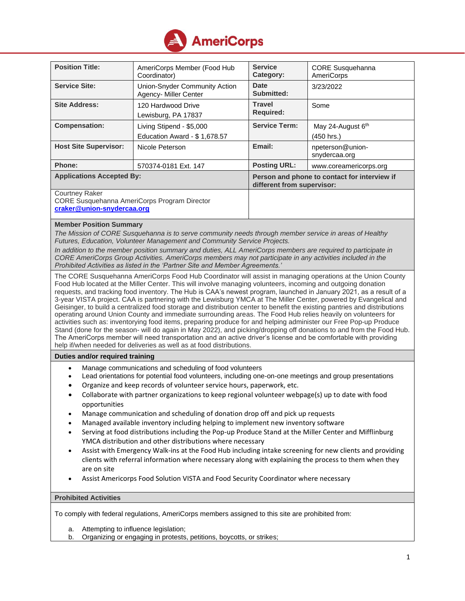

| <b>Position Title:</b>                                                                              | AmeriCorps Member (Food Hub<br>Coordinator)              | <b>Service</b><br>Category:                                                | <b>CORE Susquehanna</b><br><b>AmeriCorps</b> |
|-----------------------------------------------------------------------------------------------------|----------------------------------------------------------|----------------------------------------------------------------------------|----------------------------------------------|
| <b>Service Site:</b>                                                                                | Union-Snyder Community Action<br>Agency- Miller Center   | Date<br>Submitted:                                                         | 3/23/2022                                    |
| <b>Site Address:</b>                                                                                | 120 Hardwood Drive<br>Lewisburg, PA 17837                | <b>Travel</b><br><b>Required:</b>                                          | Some                                         |
| <b>Compensation:</b>                                                                                | Living Stipend - \$5,000<br>Education Award - \$1,678.57 | <b>Service Term:</b>                                                       | May 24-August 6th<br>(450 hrs.)              |
| <b>Host Site Supervisor:</b>                                                                        | Nicole Peterson                                          | Email:                                                                     | npeterson@union-<br>snydercaa.org            |
| Phone:                                                                                              | 570374-0181 Ext. 147                                     | <b>Posting URL:</b>                                                        | www.coreamericorps.org                       |
| <b>Applications Accepted By:</b>                                                                    |                                                          | Person and phone to contact for interview if<br>different from supervisor: |                                              |
| <b>Courtney Raker</b><br>CORE Susquehanna AmeriCorps Program Director<br>craker@union-snydercaa.org |                                                          |                                                                            |                                              |
| $M = 1$                                                                                             |                                                          |                                                                            |                                              |

## **Member Position Summary**

*The Mission of CORE Susquehanna is to serve community needs through member service in areas of Healthy Futures, Education, Volunteer Management and Community Service Projects.*

*In addition to the member position summary and duties, ALL AmeriCorps members are required to participate in CORE AmeriCorps Group Activities. AmeriCorps members may not participate in any activities included in the Prohibited Activities as listed in the 'Partner Site and Member Agreements.'*

The CORE Susquehanna AmeriCorps Food Hub Coordinator will assist in managing operations at the Union County Food Hub located at the Miller Center. This will involve managing volunteers, incoming and outgoing donation requests, and tracking food inventory. The Hub is CAA's newest program, launched in January 2021, as a result of a 3-year VISTA project. CAA is partnering with the Lewisburg YMCA at The Miller Center, powered by Evangelical and Geisinger, to build a centralized food storage and distribution center to benefit the existing pantries and distributions operating around Union County and immediate surrounding areas. The Food Hub relies heavily on volunteers for activities such as: inventorying food items, preparing produce for and helping administer our Free Pop-up Produce Stand (done for the season- will do again in May 2022), and picking/dropping off donations to and from the Food Hub. The AmeriCorps member will need transportation and an active driver's license and be comfortable with providing help if/when needed for deliveries as well as at food distributions.

## **Duties and/or required training**

- Manage communications and scheduling of food volunteers
- Lead orientations for potential food volunteers, including one-on-one meetings and group presentations
- Organize and keep records of volunteer service hours, paperwork, etc.
- Collaborate with partner organizations to keep regional volunteer webpage(s) up to date with food opportunities
- Manage communication and scheduling of donation drop off and pick up requests
- Managed available inventory including helping to implement new inventory software
- Serving at food distributions including the Pop-up Produce Stand at the Miller Center and Mifflinburg YMCA distribution and other distributions where necessary
- Assist with Emergency Walk-ins at the Food Hub including intake screening for new clients and providing clients with referral information where necessary along with explaining the process to them when they are on site
- Assist Americorps Food Solution VISTA and Food Security Coordinator where necessary

## **Prohibited Activities**

To comply with federal regulations, AmeriCorps members assigned to this site are prohibited from:

- a. Attempting to influence legislation;
- b. Organizing or engaging in protests, petitions, boycotts, or strikes;